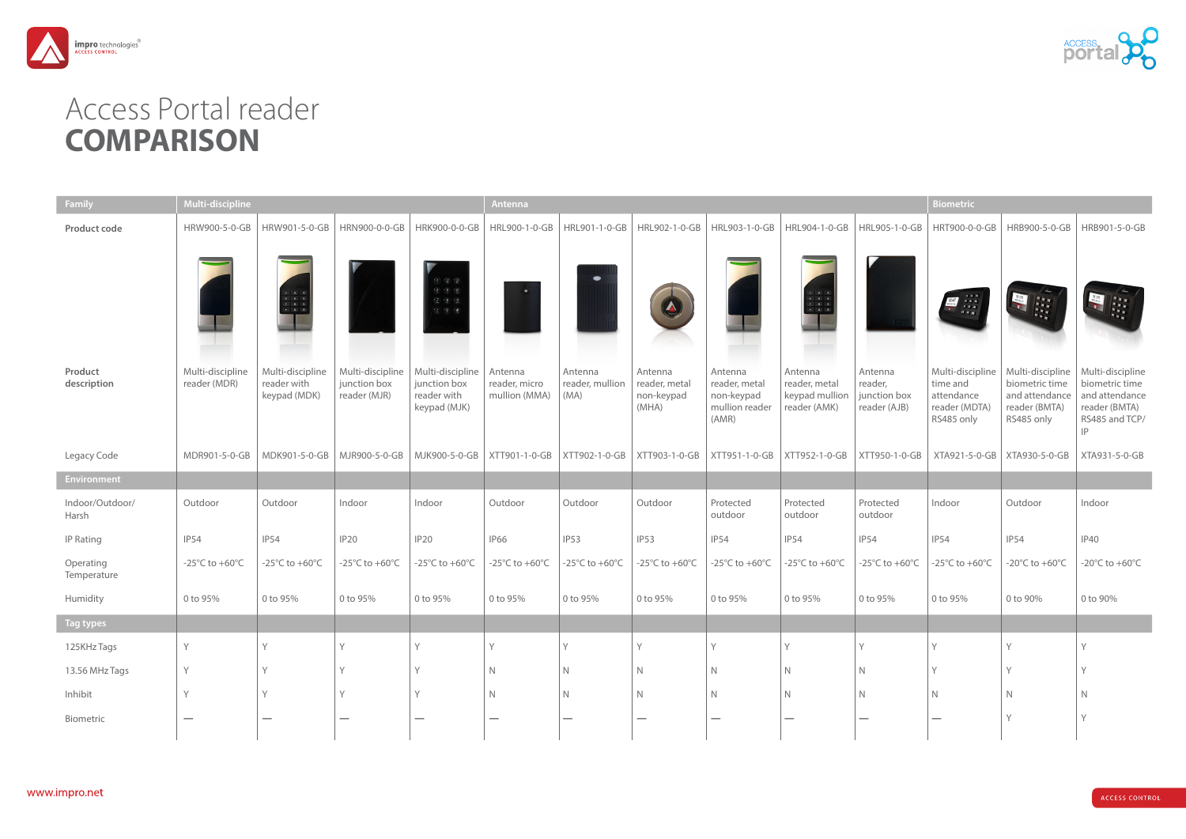

## Access Portal reader **COMPARISON**

| Family                   | Multi-discipline                                     |                                                                                                                               |                                                      |                                                                                                                      | Antenna                                   |                                                      |                                                 |                                                                   |                                                                                                                                    |                                                    |                                                                           | <b>Biometric</b>                                                                                       |                                                                                        |  |  |
|--------------------------|------------------------------------------------------|-------------------------------------------------------------------------------------------------------------------------------|------------------------------------------------------|----------------------------------------------------------------------------------------------------------------------|-------------------------------------------|------------------------------------------------------|-------------------------------------------------|-------------------------------------------------------------------|------------------------------------------------------------------------------------------------------------------------------------|----------------------------------------------------|---------------------------------------------------------------------------|--------------------------------------------------------------------------------------------------------|----------------------------------------------------------------------------------------|--|--|
| Product code             | HRW900-5-0-GB                                        | HRW901-5-0-GB                                                                                                                 | HRN900-0-0-GB                                        | HRK900-0-0-GB                                                                                                        | HRL900-1-0-GB                             | HRL901-1-0-GB                                        | HRL902-1-0-GB                                   | HRL903-1-0-GB                                                     | HRL904-1-0-GB                                                                                                                      | HRL905-1-0-GB                                      | HRT900-0-0-GB                                                             | HRB900-5-0-GB                                                                                          | HRB901-5-0-GB                                                                          |  |  |
|                          |                                                      | $\begin{array}{cccccc} & 1 & & 2 & & 3 \\ & 4 & & 5 & & 6 \\ & 7 & & 8 & & 9 \\ & & & & & & \\ \bullet & & 0 & & \end{array}$ |                                                      | (1)(2)(3)<br>$\frac{4}{5}$ $\frac{5}{5}$ $\frac{6}{5}$<br>$\frac{7}{4}$ (8 (9)<br>$\left( 0, 0, \frac{4}{3} \right)$ |                                           | $\qquad \qquad \bullet$                              |                                                 |                                                                   | $\begin{array}{ c c c c c }\hline & 2 & 3 \\ \hline 4 & 5 & 6 \\ \hline 7 & 8 & 9 \\ \hline \bullet & 0 & 8 \\ \hline \end{array}$ |                                                    | $\begin{array}{c} 3, 3, 3,\\ 3, 3, 3,\\ 3, 3, 3,\\ 4, 8, 8 \end{array}$   | <b>RRRR</b><br>RRRR<br>RRR                                                                             |                                                                                        |  |  |
| Product<br>description   | Multi-discipline<br>reader (MDR)                     | Multi-discipline<br>reader with<br>keypad (MDK)                                                                               | Multi-discipline<br>junction box<br>reader (MJR)     | Multi-discipline<br>junction box<br>reader with<br>keypad (MJK)                                                      | Antenna<br>reader, micro<br>mullion (MMA) | Antenna<br>reader, mullion<br>(MA)                   | Antenna<br>reader, metal<br>non-keypad<br>(MHA) | Antenna<br>reader, metal<br>non-keypad<br>mullion reader<br>(AMR) | Antenna<br>reader, metal<br>keypad mullion<br>reader (AMK)                                                                         | Antenna<br>reader,<br>junction box<br>reader (AJB) | Multi-discipline<br>time and<br>attendance<br>reader (MDTA)<br>RS485 only | Multi-discipline   Multi-discipline<br>biometric time<br>and attendance<br>reader (BMTA)<br>RS485 only | biometric time<br>and attendance<br>reader (BMTA)<br>RS485 and TCP/<br>$ {\mathsf P} $ |  |  |
| Legacy Code              | MDR901-5-0-GB                                        | MDK901-5-0-GB                                                                                                                 | MJR900-5-0-GB                                        | MJK900-5-0-GB                                                                                                        | XTT901-1-0-GB                             | XTT902-1-0-GB                                        | XTT903-1-0-GB                                   | XTT951-1-0-GB                                                     | XTT952-1-0-GB                                                                                                                      | XTT950-1-0-GB                                      | XTA921-5-0-GB                                                             | XTA930-5-0-GB                                                                                          | XTA931-5-0-GB                                                                          |  |  |
| <b>Environment</b>       |                                                      |                                                                                                                               |                                                      |                                                                                                                      |                                           |                                                      |                                                 |                                                                   |                                                                                                                                    |                                                    |                                                                           |                                                                                                        |                                                                                        |  |  |
| Indoor/Outdoor/<br>Harsh | Outdoor                                              | Outdoor                                                                                                                       | Indoor                                               | Indoor                                                                                                               | Outdoor                                   | Outdoor                                              | Outdoor                                         | Protected<br>outdoor                                              | Protected<br>outdoor                                                                                                               | Protected<br>outdoor                               | Indoor                                                                    | Outdoor                                                                                                | Indoor                                                                                 |  |  |
| <b>IP Rating</b>         | IP54                                                 | <b>IP54</b>                                                                                                                   | <b>IP20</b>                                          | IP <sub>20</sub>                                                                                                     | <b>IP66</b>                               | <b>IP53</b>                                          | IP53                                            | <b>IP54</b>                                                       | <b>IP54</b>                                                                                                                        | <b>IP54</b>                                        | <b>IP54</b>                                                               | <b>IP54</b>                                                                                            | <b>IP40</b>                                                                            |  |  |
| Operating<br>Temperature | -25 $\mathrm{^{\circ}C}$ to +60 $\mathrm{^{\circ}C}$ | -25 $\mathrm{^{\circ}C}$ to +60 $\mathrm{^{\circ}C}$                                                                          | -25 $\mathrm{^{\circ}C}$ to +60 $\mathrm{^{\circ}C}$ | -25 $\mathrm{^{\circ}C}$ to +60 $\mathrm{^{\circ}C}$                                                                 | -25°C to +60°C                            | -25 $\mathrm{^{\circ}C}$ to +60 $\mathrm{^{\circ}C}$ | -25°C to +60°C                                  | -25 $\mathrm{^{\circ}C}$ to +60 $\mathrm{^{\circ}C}$              | -25 $\mathrm{^{\circ}C}$ to +60 $\mathrm{^{\circ}C}$                                                                               | -25 $\mathrm{°C}$ to +60 $\mathrm{°C}$             | -25 $\mathrm{^{\circ}C}$ to +60 $\mathrm{^{\circ}C}$                      | -20 $\mathrm{^{\circ}C}$ to +60 $\mathrm{^{\circ}C}$                                                   | -20 $\mathrm{^{\circ}C}$ to +60 $\mathrm{^{\circ}C}$                                   |  |  |
| Humidity                 | 0 to 95%                                             | 0 to 95%                                                                                                                      | 0 to 95%                                             | 0 to 95%                                                                                                             | 0 to 95%                                  | 0 to 95%                                             | 0 to 95%                                        | 0 to 95%                                                          | 0 to 95%                                                                                                                           | 0 to 95%                                           | 0 to 95%                                                                  | 0 to 90%                                                                                               | 0 to 90%                                                                               |  |  |
| Tag types                |                                                      |                                                                                                                               |                                                      |                                                                                                                      |                                           |                                                      |                                                 |                                                                   |                                                                                                                                    |                                                    |                                                                           |                                                                                                        |                                                                                        |  |  |
| 125KHz Tags              |                                                      |                                                                                                                               |                                                      |                                                                                                                      |                                           |                                                      |                                                 | Y                                                                 |                                                                                                                                    |                                                    |                                                                           |                                                                                                        |                                                                                        |  |  |
| 13.56 MHz Tags           | Y                                                    |                                                                                                                               |                                                      |                                                                                                                      | N                                         | N                                                    | $\mathbb N$                                     | $\mathsf{N}$                                                      | $\mathbb N$                                                                                                                        | N                                                  | $\sqrt{}$                                                                 | Υ                                                                                                      |                                                                                        |  |  |
| Inhibit                  | $\vee$                                               |                                                                                                                               |                                                      |                                                                                                                      |                                           | N                                                    | $\mathbb N$                                     | $\mathsf{N}$                                                      | $\mathsf{N}$                                                                                                                       | N                                                  | N                                                                         | N                                                                                                      | N                                                                                      |  |  |
| Biometric                | $\hspace{0.1mm}-\hspace{0.1mm}$                      |                                                                                                                               | $\hspace{0.1mm}-\hspace{0.1mm}$                      | $\hspace{0.1mm}-\hspace{0.1mm}$                                                                                      |                                           | $\hspace{0.1mm}-\hspace{0.1mm}$                      | $\hspace{0.1mm}-\hspace{0.1mm}$                 | $\hspace{0.1mm}-\hspace{0.1mm}$                                   | $\hspace{0.1mm}-\hspace{0.1mm}$                                                                                                    | $\overline{\phantom{0}}$                           |                                                                           | Υ                                                                                                      |                                                                                        |  |  |